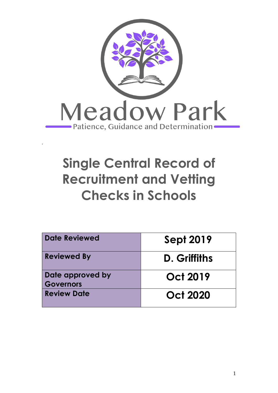

# **Single Central Record of Recruitment and Vetting Checks in Schools**

| Date Reviewed                        | <b>Sept 2019</b> |
|--------------------------------------|------------------|
| <b>Reviewed By</b>                   | D. Griffiths     |
| Date approved by<br><b>Governors</b> | <b>Oct 2019</b>  |
| <b>Review Date</b>                   | <b>Oct 2020</b>  |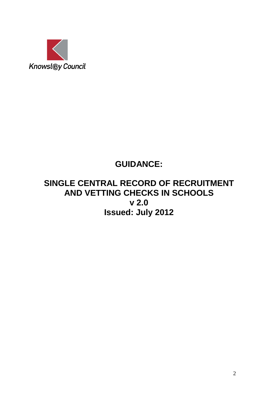

# **GUIDANCE:**

# **SINGLE CENTRAL RECORD OF RECRUITMENT AND VETTING CHECKS IN SCHOOLS v 2.0 Issued: July 2012**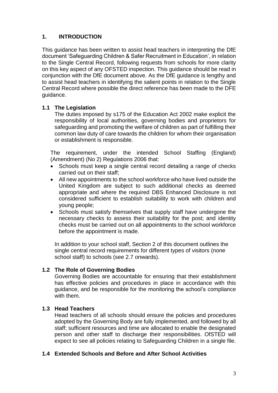# **1. INTRODUCTION**

This guidance has been written to assist head teachers in interpreting the DfE document 'Safeguarding Children & Safer Recruitment in Education', in relation to the Single Central Record, following requests from schools for more clarity on this key aspect of any OFSTED inspection. This guidance should be read in conjunction with the DfE document above. As the DfE guidance is lengthy and to assist head teachers in identifying the salient points in relation to the Single Central Record where possible the direct reference has been made to the DFE guidance.

# **1.1 The Legislation**

The duties imposed by s175 of the Education Act 2002 make explicit the responsibility of local authorities, governing bodies and proprietors for safeguarding and promoting the welfare of children as part of fulfilling their common law duty of care towards the children for whom their organisation or establishment is responsible.

The requirement, under the intended School Staffing (England) (Amendment) (No 2) Regulations 2006 that:

- Schools must keep a single central record detailing a range of checks carried out on their staff;
- All new appointments to the school workforce who have lived outside the United Kingdom are subject to such additional checks as deemed appropriate and where the required DBS Enhanced Disclosure is not considered sufficient to establish suitability to work with children and young people;
- Schools must satisfy themselves that supply staff have undergone the necessary checks to assess their suitability for the post; and identity checks must be carried out on all appointments to the school workforce before the appointment is made.

In addition to your school staff, Section 2 of this document outlines the single central record requirements for different types of visitors (none school staff) to schools (see 2.7 onwards).

# **1.2 The Role of Governing Bodies**

Governing Bodies are accountable for ensuring that their establishment has effective policies and procedures in place in accordance with this guidance, and be responsible for the monitoring the school's compliance with them.

# **1.3 Head Teachers**

Head teachers of all schools should ensure the policies and procedures adopted by the Governing Body are fully implemented, and followed by all staff; sufficient resources and time are allocated to enable the designated person and other staff to discharge their responsibilities. OfSTED will expect to see all policies relating to Safeguarding Children in a single file.

# **1.4 Extended Schools and Before and After School Activities**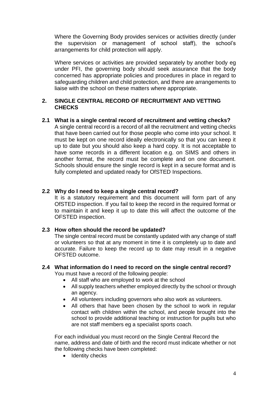Where the Governing Body provides services or activities directly (under the supervision or management of school staff), the school's arrangements for child protection will apply.

Where services or activities are provided separately by another body eg under PFI, the governing body should seek assurance that the body concerned has appropriate policies and procedures in place in regard to safeguarding children and child protection, and there are arrangements to liaise with the school on these matters where appropriate.

# **2. SINGLE CENTRAL RECORD OF RECRUITMENT AND VETTING CHECKS**

**2.1 What is a single central record of recruitment and vetting checks?** A single central record is a record of all the recruitment and vetting checks that have been carried out for those people who come into your school. It must be kept on one record ideally electronically so that you can keep it up to date but you should also keep a hard copy. It is not acceptable to have some records in a different location e.g. on SIMS and others in another format, the record must be complete and on one document. Schools should ensure the single record is kept in a secure format and is fully completed and updated ready for OfSTED Inspections.

# **2.2 Why do I need to keep a single central record?**

It is a statutory requirement and this document will form part of any OfSTED inspection. If you fail to keep the record in the required format or to maintain it and keep it up to date this will affect the outcome of the OFSTED inspection.

# **2.3 How often should the record be updated?**

The single central record must be constantly updated with any change of staff or volunteers so that at any moment in time it is completely up to date and accurate. Failure to keep the record up to date may result in a negative OFSTED outcome.

# **2.4 What information do I need to record on the single central record?**

You must have a record of the following people:

- All staff who are employed to work at the school
- All supply teachers whether employed directly by the school or through an agency.
- All volunteers including governors who also work as volunteers.
- All others that have been chosen by the school to work in regular contact with children within the school, and people brought into the school to provide additional teaching or instruction for pupils but who are not staff members eg a specialist sports coach.

For each individual you must record on the Single Central Record the name, address and date of birth and the record must indicate whether or not the following checks have been completed:

• Identity checks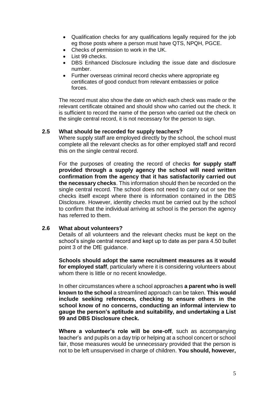- Qualification checks for any qualifications legally required for the job eg those posts where a person must have QTS, NPQH, PGCE.
- Checks of permission to work in the UK.
- List 99 checks.
- DBS Enhanced Disclosure including the issue date and disclosure number.
- Further overseas criminal record checks where appropriate eg certificates of good conduct from relevant embassies or police forces.

The record must also show the date on which each check was made or the relevant certificate obtained and should show who carried out the check. It is sufficient to record the name of the person who carried out the check on the single central record, it is not necessary for the person to sign.

#### **2.5 What should be recorded for supply teachers?**

Where supply staff are employed directly by the school, the school must complete all the relevant checks as for other employed staff and record this on the single central record.

For the purposes of creating the record of checks **for supply staff provided through a supply agency the school will need written confirmation from the agency that it has satisfactorily carried out the necessary checks**. This information should then be recorded on the single central record. The school does not need to carry out or see the checks itself except where there is information contained in the DBS Disclosure. However, identity checks must be carried out by the school to confirm that the individual arriving at school is the person the agency has referred to them.

# **2.6 What about volunteers?**

Details of all volunteers and the relevant checks must be kept on the school's single central record and kept up to date as per para 4.50 bullet point 3 of the DfE guidance.

**Schools should adopt the same recruitment measures as it would for employed staff**, particularly where it is considering volunteers about whom there is little or no recent knowledge.

In other circumstances where a school approaches **a parent who is well known to the school** a streamlined approach can be taken. **This would include seeking references, checking to ensure others in the school know of no concerns, conducting an informal interview to gauge the person's aptitude and suitability, and undertaking a List 99 and DBS Disclosure check.**

**Where a volunteer's role will be one-off**, such as accompanying teacher's and pupils on a day trip or helping at a school concert or school fair, those measures would be unnecessary provided that the person is not to be left unsupervised in charge of children. **You should, however,**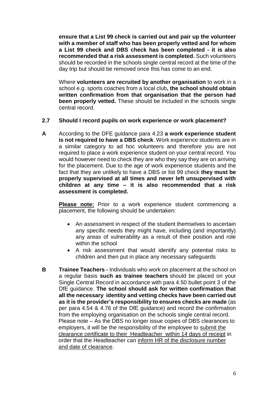**ensure that a List 99 check is carried out and pair up the volunteer with a member of staff who has been properly vetted and for whom a List 99 check and DBS check has been completed - it is also recommended that a risk assessment is completed.** Such volunteers should be recorded in the schools single central record at the time of the day trip but should be removed once this has come to an end.

Where **volunteers are recruited by another organisation** to work in a school e.g. sports coaches from a local club**, the school should obtain written confirmation from that organisation that the person had been properly vetted.** These should be included in the schools single central record.

# **2.7 Should I record pupils on work experience or work placement?**

**A** According to the DFE guidance para 4.23 **a work experience student is not required to have a DBS check**. Work experience students are in a similar category to ad hoc volunteers and therefore you are not required to place a work experience student on your central record. You would however need to check they are who they say they are on arriving for the placement. Due to the age of work experience students and the fact that they are unlikely to have a DBS or list 99 check **they must be properly supervised at all times and never left unsupervised with children at any time – it is also recommended that a risk assessment is completed.**

**Please note:** Prior to a work experience student commencing a placement, the following should be undertaken:

- An assessment in respect of the student themselves to ascertain any specific needs they might have, including (and importantly) any areas of vulnerability as a result of their position and role within the school
- A risk assessment that would identify any potential risks to children and then put in place any necessary safeguards
- **B Trainee Teachers -** Individuals who work on placement at the school on a regular basis **such as trainee teachers** should be placed on your Single Central Record in accordance with para 4.50 bullet point 3 of the DfE guidance. **The school should ask for written confirmation that all the necessary identity and vetting checks have been carried out as it is the provider's responsibility to ensures checks are made** (as per para 4.54 & 4.76 of the DfE guidance) and record the confirmation from the employing organisation on the schools single central record. Please note – As the DBS no longer issue copies of DBS clearances to employers, it will be the responsibility of the employee to submit the clearance certificate to their Headteacher within 14 days of receipt in order that the Headteacher can inform HR of the disclosure number and date of clearance.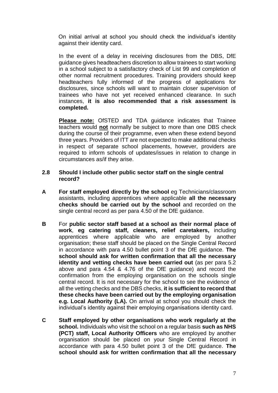On initial arrival at school you should check the individual's identity against their identity card.

In the event of a delay in receiving disclosures from the DBS, DfE guidance gives headteachers discretion to allow trainees to start working in a school subject to a satisfactory check of List 99 and completion of other normal recruitment procedures. Training providers should keep headteachers fully informed of the progress of applications for disclosures, since schools will want to maintain closer supervision of trainees who have not yet received enhanced clearance. In such instances, **it is also recommended that a risk assessment is completed.**

**Please note:** OfSTED and TDA guidance indicates that Trainee teachers would **not** normally be subject to more than one DBS check during the course of their programme, even when these extend beyond three years. Providers of ITT are not expected to make additional checks in respect of separate school placements, however, providers are required to inform schools of updates/issues in relation to change in circumstances as/if they arise.

# **2.8 Should I include other public sector staff on the single central record?**

- **A For staff employed directly by the school** eg Technicians/classroom assistants, including apprentices where applicable **all the necessary checks should be carried out by the school** and recorded on the single central record as per para 4.50 of the DfE guidance.
- **B** For **public sector staff based at a school as their normal place of work**, **eg catering staff, cleaners, relief caretakers,** including apprentices where applicable who are employed by another organisation; these staff should be placed on the Single Central Record in accordance with para 4.50 bullet point 3 of the DfE guidance. **The school should ask for written confirmation that all the necessary identity and vetting checks have been carried out** (as per para 5.2 above and para 4.54 & 4.76 of the DfE guidance) and record the confirmation from the employing organisation on the schools single central record. It is not necessary for the school to see the evidence of all the vetting checks and the DBS checks, **it is sufficient to record that these checks have been carried out by the employing organisation e.g. Local Authority (LA).** On arrival at school you should check the individual's identity against their employing organisations identity card.
- **C Staff employed by other organisations who work regularly at the school.** Individuals who visit the school on a regular basis **such as NHS (PCT) staff, Local Authority Officers** who are employed by another organisation should be placed on your Single Central Record in accordance with para 4.50 bullet point 3 of the DfE guidance. **The school should ask for written confirmation that all the necessary**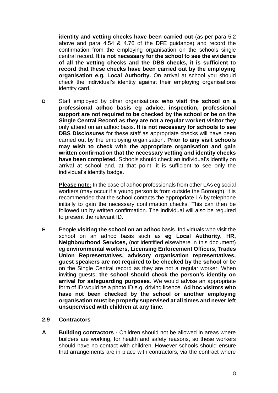**identity and vetting checks have been carried out** (as per para 5.2 above and para 4.54 & 4.76 of the DFE guidance) and record the confirmation from the employing organisation on the schools single central record. **It is not necessary for the school to see the evidence of all the vetting checks and the DBS checks, it is sufficient to record that these checks have been carried out by the employing organisation e.g. Local Authority.** On arrival at school you should check the individual's identity against their employing organisations identity card.

**D** Staff employed by other organisations **who visit the school on a professional adhoc basis eg advice, inspection, professional support are not required to be checked by the school or be on the Single Central Record as they are not a regular worker/ visitor** they only attend on an adhoc basis. **It is not necessary for schools to see DBS Disclosures** for these staff as appropriate checks will have been carried out by the employing organisation. **Prior to any visit schools may wish to check with the appropriate organisation and gain written confirmation that the necessary vetting and identity checks have been completed**. Schools should check an individual's identity on arrival at school and, at that point, it is sufficient to see only the individual's identity badge.

**Please note:** In the case of adhoc professionals from other LAs eg social workers (may occur if a young person is from outside the Borough), it is recommended that the school contacts the appropriate LA by telephone initially to gain the necessary confirmation checks. This can then be followed up by written confirmation. The individual will also be required to present the relevant ID.

**E** People **visiting the school on an adhoc** basis. Individuals who visit the school on an adhoc basis such as **eg Local Authority, HR, Neighbourhood Services,** (not identified elsewhere in this document) eg **environmental workers**, **Licensing Enforcement Officers**, **Trades Union Representatives, advisory organisation representatives, guest speakers are not required to be checked by the school** or be on the Single Central record as they are not a regular worker. When inviting guests, **the school should check the person's identity on arrival for safeguarding purposes**. We would advise an appropriate form of ID would be a photo ID e.g. driving licence. **Ad hoc visitors who have not been checked by the school or another employing organisation must be properly supervised at all times and never left unsupervised with children at any time.**

# **2.9 Contractors**

**A Building contractors -** Children should not be allowed in areas where builders are working, for health and safety reasons, so these workers should have no contact with children. However schools should ensure that arrangements are in place with contractors, via the contract where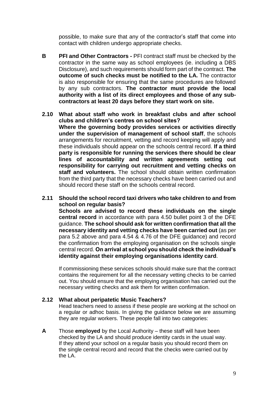possible, to make sure that any of the contractor's staff that come into contact with children undergo appropriate checks.

- **B PFI and Other Contractors -** PFI contract staff must be checked by the contractor in the same way as school employees (ie. including a DBS Disclosure), and such requirements should form part of the contract. **The outcome of such checks must be notified to the LA.** The contractor is also responsible for ensuring that the same procedures are followed by any sub contractors. **The contractor must provide the local authority with a list of its direct employees and those of any subcontractors at least 20 days before they start work on site.**
- **2.10 What about staff who work in breakfast clubs and after school clubs and children's centres on school sites? Where the governing body provides services or activities directly under the supervision of management of school staff**, the schools arrangements for recruitment, vetting and record keeping will apply and these individuals should appear on the schools central record. **If a third party is responsible for running the services there should be clear lines of accountability and written agreements setting out responsibility for carrying out recruitment and vetting checks on staff and volunteers.** The school should obtain written confirmation from the third party that the necessary checks have been carried out and should record these staff on the schools central record.
- **2.11 Should the school record taxi drivers who take children to and from school on regular basis?**

**Schools are advised to record these individuals on the single central record** in accordance with para 4.50 bullet point 3 of the DFE guidance. **The school should ask for written confirmation that all the necessary identity and vetting checks have been carried out** (as per para 5.2 above and para 4.54 & 4.76 of the DFE guidance) and record the confirmation from the employing organisation on the schools single central record. **On arrival at school you should check the individual's identity against their employing organisations identity card**.

If commissioning these services schools should make sure that the contract contains the requirement for all the necessary vetting checks to be carried out. You should ensure that the employing organisation has carried out the necessary vetting checks and ask them for written confirmation.

#### **2.12 What about peripatetic Music Teachers?**

Head teachers need to assess if these people are working at the school on a regular or adhoc basis. In giving the guidance below we are assuming they are regular workers. These people fall into two categories:

**A** Those **employed** by the Local Authority – these staff will have been checked by the LA and should produce identity cards in the usual way. If they attend your school on a regular basis you should record them on the single central record and record that the checks were carried out by the LA.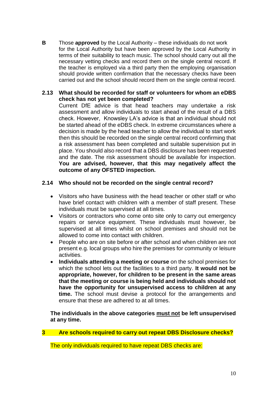**B** Those **approved** by the Local Authority – these individuals do not work for the Local Authority but have been approved by the Local Authority in terms of their suitability to teach music. The school should carry out all the necessary vetting checks and record them on the single central record. If the teacher is employed via a third party then the employing organisation should provide written confirmation that the necessary checks have been carried out and the school should record them on the single central record.

# **2.13 What should be recorded for staff or volunteers for whom an eDBS check has not yet been completed?**

Current DfE advice is that head teachers may undertake a risk assessment and allow individuals to start ahead of the result of a DBS check. However, Knowsley LA's advice is that an individual should not be started ahead of the eDBS check. In extreme circumstances where a decision is made by the head teacher to allow the individual to start work then this should be recorded on the single central record confirming that a risk assessment has been completed and suitable supervision put in place. You should also record that a DBS disclosure has been requested and the date. The risk assessment should be available for inspection. **You are advised, however, that this may negatively affect the outcome of any OFSTED inspection.**

# **2.14 Who should not be recorded on the single central record?**

- Visitors who have business with the head teacher or other staff or who have brief contact with children with a member of staff present. These individuals must be supervised at all times.
- Visitors or contractors who come onto site only to carry out emergency repairs or service equipment. These individuals must however, be supervised at all times whilst on school premises and should not be allowed to come into contact with children.
- People who are on site before or after school and when children are not present e.g. local groups who hire the premises for community or leisure activities.
- **Individuals attending a meeting or course** on the school premises for which the school lets out the facilities to a third party. **It would not be appropriate, however, for children to be present in the same areas that the meeting or course is being held and individuals should not have the opportunity for unsupervised access to children at any time.** The school must devise a protocol for the arrangements and ensure that these are adhered to at all times.

**The individuals in the above categories must not be left unsupervised at any time.**

# **3 Are schools required to carry out repeat DBS Disclosure checks?**

The only individuals required to have repeat DBS checks are: